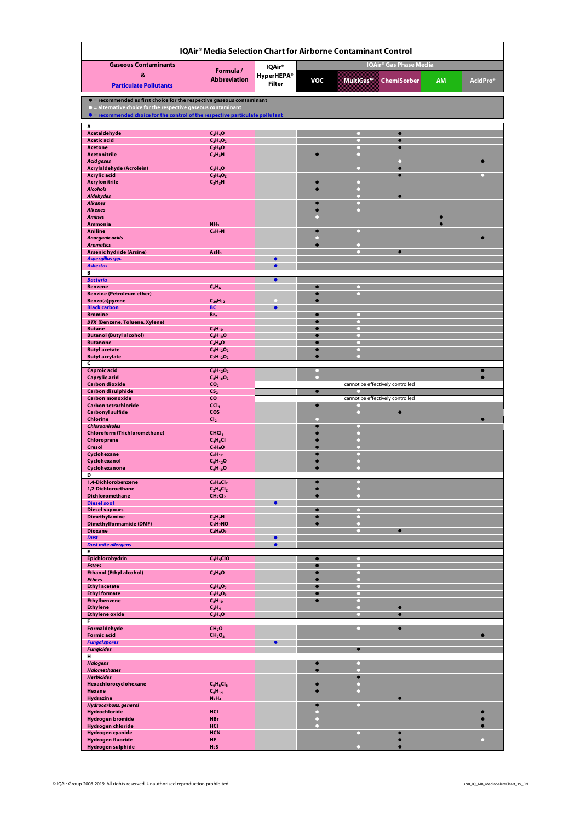| IQAir® Media Selection Chart for Airborne Contaminant Control                  |                                   |                                  |                        |           |                                  |           |                        |  |  |  |  |
|--------------------------------------------------------------------------------|-----------------------------------|----------------------------------|------------------------|-----------|----------------------------------|-----------|------------------------|--|--|--|--|
| <b>Gaseous Contaminants</b>                                                    |                                   | IQAir® Gas Phase Media<br>IQAir® |                        |           |                                  |           |                        |  |  |  |  |
| &                                                                              | Formula/                          | <b>HyperHEPA®</b>                |                        |           |                                  |           |                        |  |  |  |  |
| <b>Particulate Pollutants</b>                                                  | <b>Abbreviation</b>               | <b>Filter</b>                    | <b>VOC</b>             | MultiGas™ | <b>ChemiSorber</b>               | <b>AM</b> | AcidPro*               |  |  |  |  |
| • = recommended as first choice for the respective gaseous contaminant         |                                   |                                  |                        |           |                                  |           |                        |  |  |  |  |
| If = alternative choice for the respective gaseous contaminant                 |                                   |                                  |                        |           |                                  |           |                        |  |  |  |  |
| • = recommended choice for the control of the respective particulate pollutant |                                   |                                  |                        |           |                                  |           |                        |  |  |  |  |
| A<br>Acetaldehyde                                                              | $C_2H_4O$                         |                                  |                        |           | $\bullet$                        |           |                        |  |  |  |  |
| <b>Acetic acid</b>                                                             | $C_2H_4O_2$                       |                                  |                        | $\circ$   | O                                |           |                        |  |  |  |  |
| <b>Acetone</b><br><b>Acetonitrile</b>                                          | $C_3H_6O$<br>$C_2H_3N$            |                                  |                        | O         |                                  |           |                        |  |  |  |  |
| Acid gases                                                                     |                                   |                                  |                        |           |                                  |           | $\bullet$              |  |  |  |  |
| Acrylaldehyde (Acrolein)<br><b>Acrylic acid</b>                                | $C_3H_4O$<br>$C_3H_4O_2$          |                                  |                        |           | c                                |           |                        |  |  |  |  |
| <b>Acrylonitrile</b>                                                           | $C_3H_3N$                         |                                  |                        |           |                                  |           |                        |  |  |  |  |
| <b>Alcohols</b><br><b>Aldehydes</b>                                            |                                   |                                  |                        | n<br>n    | $\bullet$                        |           |                        |  |  |  |  |
| <b>Alkanes</b><br><b>Alkenes</b>                                               |                                   |                                  |                        |           |                                  |           |                        |  |  |  |  |
| <b>Amines</b>                                                                  |                                   |                                  |                        |           |                                  |           |                        |  |  |  |  |
| Ammonia                                                                        | NH <sub>3</sub>                   |                                  |                        |           |                                  |           |                        |  |  |  |  |
| Aniline<br>Anorganic acids                                                     | $C_6H_7N$                         |                                  |                        |           |                                  |           |                        |  |  |  |  |
| <b>Aromatics</b>                                                               |                                   |                                  |                        | n         | G                                |           |                        |  |  |  |  |
| <b>Arsenic hydride (Arsine)</b><br>Aspergillus spp.                            | AsH <sub>3</sub>                  | ٠                                |                        |           |                                  |           |                        |  |  |  |  |
| <b>Asbestos</b>                                                                |                                   | ٠                                |                        |           |                                  |           |                        |  |  |  |  |
| B<br><b>Bacteria</b>                                                           |                                   | $\bullet$                        |                        |           |                                  |           |                        |  |  |  |  |
| <b>Benzene</b>                                                                 | $C_6H_6$                          |                                  | $\bullet$<br>$\bullet$ | 0.        |                                  |           |                        |  |  |  |  |
| <b>Benzine (Petroleum ether)</b><br>Benzo(a)pyrene                             | $C_{20}H_{12}$                    |                                  |                        |           |                                  |           |                        |  |  |  |  |
| <b>Black carbon</b>                                                            | <b>BC</b>                         | $\bullet$                        |                        | □         |                                  |           |                        |  |  |  |  |
| <b>Bromine</b><br><b>BTX (Benzene, Toluene, Xylene)</b>                        | Br <sub>2</sub>                   |                                  |                        |           |                                  |           |                        |  |  |  |  |
| <b>Butane</b>                                                                  | $C_4H_{10}$                       |                                  |                        |           |                                  |           |                        |  |  |  |  |
| <b>Butanol (Butyl alcohol)</b><br><b>Butanone</b>                              | $C_4H_{10}O$<br>$C_4H_8O$         |                                  |                        |           |                                  |           |                        |  |  |  |  |
| <b>Butyl acetate</b>                                                           | $C_6H_{12}O_2$                    |                                  |                        |           |                                  |           |                        |  |  |  |  |
| <b>Butyl acrylate</b><br>C                                                     | $C_7H_{12}O_2$                    |                                  |                        |           |                                  |           |                        |  |  |  |  |
| <b>Caproic acid</b>                                                            | $C_6H_{12}O_2$                    |                                  |                        |           |                                  |           |                        |  |  |  |  |
| <b>Caprylic acid</b><br><b>Carbon dioxide</b>                                  | $C_8H_{16}O_2$<br>CO <sub>2</sub> |                                  |                        |           | cannot be effectively controlled |           |                        |  |  |  |  |
| <b>Carbon disulphide</b>                                                       | CS <sub>2</sub>                   |                                  | $\bullet$              |           |                                  |           |                        |  |  |  |  |
| <b>Carbon monoxide</b><br><b>Carbon tetrachloride</b>                          | <b>CO</b><br>CCI <sub>4</sub>     |                                  | $\bullet$              |           | cannot be effectively controlled |           |                        |  |  |  |  |
| <b>Carbonyl sulfide</b><br>Chlorine                                            | COS                               |                                  |                        | □         | $\bullet$                        |           |                        |  |  |  |  |
| <b>Chloroanisoles</b>                                                          | Cl <sub>2</sub>                   |                                  | $\bullet$              | n         |                                  |           |                        |  |  |  |  |
| <b>Chloroform (Trichloromethane)</b><br>Chloroprene                            | CHCl <sub>3</sub><br>$C_4H_5Cl$   |                                  | $\bullet$              | n         |                                  |           |                        |  |  |  |  |
| Cresol                                                                         | $C_7H_8O$                         |                                  |                        |           |                                  |           |                        |  |  |  |  |
| Cyclohexane<br>Cyclohexanol                                                    | $C_6H_{12}$<br>$C_6H_{12}O$       |                                  |                        | n<br>o    |                                  |           |                        |  |  |  |  |
| Cyclohexanone                                                                  | $C_6H_{10}O$                      |                                  |                        | n         |                                  |           |                        |  |  |  |  |
| D<br>1,4-Dichlorobenzene                                                       |                                   |                                  |                        |           |                                  |           |                        |  |  |  |  |
| 1,2-Dichloroethane                                                             | $C_6H_4Cl_2$<br>$C_2H_4Cl_2$      |                                  | $\bullet$              |           |                                  |           |                        |  |  |  |  |
| <b>Dichloromethane</b><br><b>Diesel soot</b>                                   | CH <sub>2</sub> Cl <sub>2</sub>   | $\bullet$                        |                        |           |                                  |           |                        |  |  |  |  |
| <b>Diesel vapours</b>                                                          |                                   |                                  |                        |           |                                  |           |                        |  |  |  |  |
| <b>Dimethylamine</b><br><b>Dimethylformamide (DMF)</b>                         | $C_2H_7N$<br>$C_3H_7NO$           |                                  | ۰                      | о         |                                  |           |                        |  |  |  |  |
| <b>Dioxane</b>                                                                 | $C_4H_8O_2$                       |                                  |                        |           |                                  |           |                        |  |  |  |  |
| <b>Dust</b><br><b>Dust mite allergens</b>                                      |                                   | $\bullet$<br>$\bullet$           |                        |           |                                  |           |                        |  |  |  |  |
| Е                                                                              |                                   |                                  |                        |           |                                  |           |                        |  |  |  |  |
| Epichlorohydrin<br><b>Esters</b>                                               | C <sub>3</sub> H <sub>5</sub> ClO |                                  | $\bullet$              |           |                                  |           |                        |  |  |  |  |
| <b>Ethanol (Ethyl alcohol)</b>                                                 | $C_2H_6O$                         |                                  |                        |           |                                  |           |                        |  |  |  |  |
| <b>Ethers</b><br><b>Ethyl acetate</b>                                          | $C_4H_8O_2$                       |                                  | $\bullet$              | n         |                                  |           |                        |  |  |  |  |
| <b>Ethyl formate</b>                                                           | $C_3H_6O_2$                       |                                  |                        |           |                                  |           |                        |  |  |  |  |
| <b>Ethylbenzene</b><br><b>Ethylene</b>                                         | $C_8H_{10}$<br>$C_2H_4$           |                                  |                        | a         | c                                |           |                        |  |  |  |  |
| <b>Ethylene oxide</b><br>F                                                     | $C_2H_4O$                         |                                  |                        | n         | $\bullet$                        |           |                        |  |  |  |  |
| Formaldehyde                                                                   | CH <sub>2</sub> O                 |                                  |                        |           | $\bullet$                        |           |                        |  |  |  |  |
| <b>Formic acid</b>                                                             | CH <sub>2</sub> O <sub>2</sub>    |                                  |                        |           |                                  |           | $\bullet$              |  |  |  |  |
| <b>Fungal spores</b><br><b>Fungicides</b>                                      |                                   |                                  |                        |           |                                  |           |                        |  |  |  |  |
| н<br><b>Halogens</b>                                                           |                                   |                                  | $\bullet$              |           |                                  |           |                        |  |  |  |  |
| <b>Halomethanes</b>                                                            |                                   |                                  | $\bullet$              | n         |                                  |           |                        |  |  |  |  |
| <b>Herbicides</b>                                                              |                                   |                                  | $\bullet$              | ۵         |                                  |           |                        |  |  |  |  |
| Hexachlorocyclohexane<br>Hexane                                                | $C_6H_6Cl_6$<br>$C_6H_{14}$       |                                  | $\bullet$              |           |                                  |           |                        |  |  |  |  |
| <b>Hydrazine</b>                                                               | $N_2H_4$                          |                                  |                        |           |                                  |           |                        |  |  |  |  |
| Hydrocarbons, general<br>Hydrochloride                                         | HCI                               |                                  |                        |           |                                  |           |                        |  |  |  |  |
| <b>Hydrogen bromide</b>                                                        | <b>HBr</b><br>HCI                 |                                  |                        |           |                                  |           | $\bullet$<br>$\bullet$ |  |  |  |  |
| Hydrogen chloride<br>Hydrogen cyanide                                          | <b>HCN</b>                        |                                  |                        |           |                                  |           |                        |  |  |  |  |
| <b>Hydrogen fluoride</b><br>Hydrogen sulphide                                  | HF<br>$H_2S$                      |                                  |                        |           | Ō<br>$\bullet$                   |           | $\Box$                 |  |  |  |  |